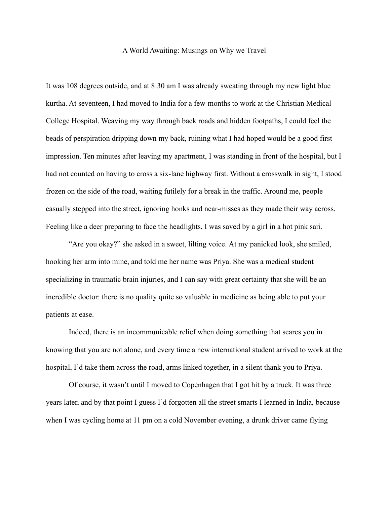## A World Awaiting: Musings on Why we Travel

It was 108 degrees outside, and at 8:30 am I was already sweating through my new light blue kurtha. At seventeen, I had moved to India for a few months to work at the Christian Medical College Hospital. Weaving my way through back roads and hidden footpaths, I could feel the beads of perspiration dripping down my back, ruining what I had hoped would be a good first impression. Ten minutes after leaving my apartment, I was standing in front of the hospital, but I had not counted on having to cross a six-lane highway first. Without a crosswalk in sight, I stood frozen on the side of the road, waiting futilely for a break in the traffic. Around me, people casually stepped into the street, ignoring honks and near-misses as they made their way across. Feeling like a deer preparing to face the headlights, I was saved by a girl in a hot pink sari.

"Are you okay?" she asked in a sweet, lilting voice. At my panicked look, she smiled, hooking her arm into mine, and told me her name was Priya. She was a medical student specializing in traumatic brain injuries, and I can say with great certainty that she will be an incredible doctor: there is no quality quite so valuable in medicine as being able to put your patients at ease.

Indeed, there is an incommunicable relief when doing something that scares you in knowing that you are not alone, and every time a new international student arrived to work at the hospital, I'd take them across the road, arms linked together, in a silent thank you to Priya.

Of course, it wasn't until I moved to Copenhagen that I got hit by a truck. It was three years later, and by that point I guess I'd forgotten all the street smarts I learned in India, because when I was cycling home at 11 pm on a cold November evening, a drunk driver came flying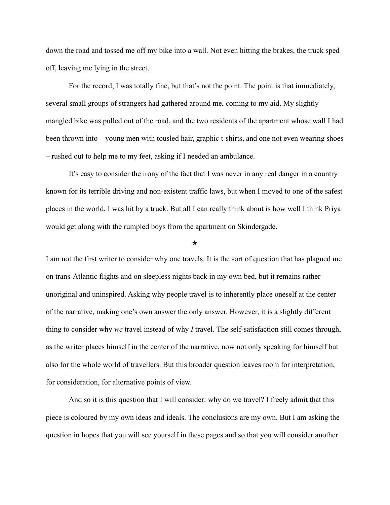down the road and tossed me off my bike into a wall. Not even hitting the brakes, the truck sped off, leaving me lying in the street.

For the record, I was totally fine, but that's not the point. The point is that immediately, several small groups of strangers had gathered around me, coming to my aid. My slightly mangled bike was pulled out of the road, and the two residents of the apartment whose wall I had been thrown into – young men with tousled hair, graphic t-shirts, and one not even wearing shoes – rushed out to help me to my feet, asking if I needed an ambulance.

It's easy to consider the irony of the fact that I was never in any real danger in a country known for its terrible driving and non-existent traffic laws, but when I moved to one of the safest places in the world, I was hit by a truck. But all I can really think about is how well I think Priya would get along with the rumpled boys from the apartment on Skindergade.

## ★

I am not the first writer to consider why one travels. It is the sort of question that has plagued me on trans-Atlantic flights and on sleepless nights back in my own bed, but it remains rather unoriginal and uninspired. Asking why people travel is to inherently place oneself at the center of the narrative, making one's own answer the only answer. However, it is a slightly different thing to consider why *we* travel instead of why *I* travel. The self-satisfaction still comes through, as the writer places himself in the center of the narrative, now not only speaking for himself but also for the whole world of travellers. But this broader question leaves room for interpretation, for consideration, for alternative points of view.

And so it is this question that I will consider: why do we travel? I freely admit that this piece is coloured by my own ideas and ideals. The conclusions are my own. But I am asking the question in hopes that you will see yourself in these pages and so that you will consider another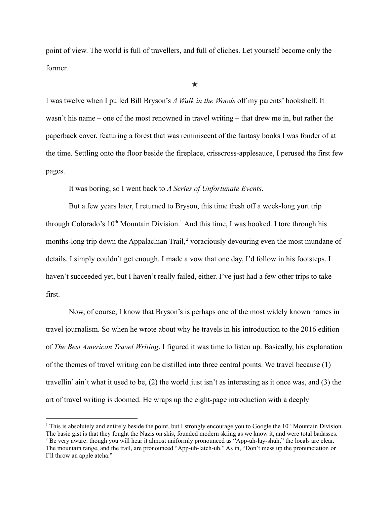point of view. The world is full of travellers, and full of cliches. Let yourself become only the former.

★

I was twelve when I pulled Bill Bryson's *A Walk in the Woods* off my parents' bookshelf. It wasn't his name – one of the most renowned in travel writing – that drew me in, but rather the paperback cover, featuring a forest that was reminiscent of the fantasy books I was fonder of at the time. Settling onto the floor beside the fireplace, crisscross-applesauce, I perused the first few pages.

It was boring, so I went back to *A Series of Unfortunate Events*.

But a few years later, I returned to Bryson, this time fresh off a week-long yurt trip through Colorado's  $10<sup>th</sup>$  Mountain Division.<sup>1</sup> And this time, I was hooked. I tore through his months-long trip down the Appalachian Trail,<sup>2</sup> voraciously devouring even the most mundane of details. I simply couldn't get enough. I made a vow that one day, I'd follow in his footsteps. I haven't succeeded yet, but I haven't really failed, either. I've just had a few other trips to take first.

Now, of course, I know that Bryson's is perhaps one of the most widely known names in travel journalism. So when he wrote about why he travels in his introduction to the 2016 edition of *The Best American Travel Writing*, I figured it was time to listen up. Basically, his explanation of the themes of travel writing can be distilled into three central points. We travel because (1) travellin' ain't what it used to be, (2) the world just isn't as interesting as it once was, and (3) the art of travel writing is doomed. He wraps up the eight-page introduction with a deeply

<sup>&</sup>lt;sup>1</sup> This is absolutely and entirely beside the point, but I strongly encourage you to Google the  $10<sup>th</sup>$  Mountain Division. The basic gist is that they fought the Nazis on skis, founded modern skiing as we know it, and were total badasses.

<sup>&</sup>lt;sup>2</sup> Be very aware: though you will hear it almost uniformly pronounced as "App-uh-lay-shuh," the locals are clear. The mountain range, and the trail, are pronounced "App-uh-latch-uh." As in, "Don't mess up the pronunciation or I'll throw an apple atcha."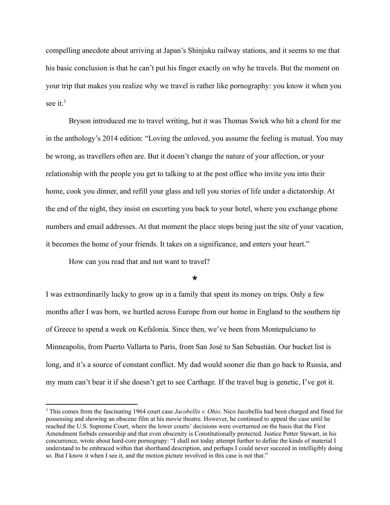compelling anecdote about arriving at Japan's Shinjuku railway stations, and it seems to me that his basic conclusion is that he can't put his finger exactly on why he travels. But the moment on your trip that makes you realize why we travel is rather like pornography: you know it when you see it. $3$ 

Bryson introduced me to travel writing, but it was Thomas Swick who hit a chord for me in the anthology's 2014 edition: "Loving the unloved, you assume the feeling is mutual. You may be wrong, as travellers often are. But it doesn't change the nature of your affection, or your relationship with the people you get to talking to at the post office who invite you into their home, cook you dinner, and refill your glass and tell you stories of life under a dictatorship. At the end of the night, they insist on escorting you back to your hotel, where you exchange phone numbers and email addresses. At that moment the place stops being just the site of your vacation, it becomes the home of your friends. It takes on a significance, and enters your heart."

How can you read that and not want to travel?

## ★

I was extraordinarily lucky to grow up in a family that spent its money on trips. Only a few months after I was born, we hurtled across Europe from our home in England to the southern tip of Greece to spend a week on Kefalonia. Since then, we've been from Montepulciano to Minneapolis, from Puerto Vallarta to Paris, from San José to San Sebastián. Our bucket list is long, and it's a source of constant conflict. My dad would sooner die than go back to Russia, and my mum can't bear it if she doesn't get to see Carthage. If the travel bug is genetic, I've got it.

<sup>3</sup> This comes from the fascinating 1964 court case *Jacobellis v. Ohio*. Nico Jacobellis had been charged and fined for possessing and showing an obscene film at his movie theatre. However, he continued to appeal the case until he reached the U.S. Supreme Court, where the lower courts' decisions were overturned on the basis that the First Amendment forbids censorship and that even obscenity is Constitutionally protected. Justice Potter Stewart, in his concurrence, wrote about hard-core pornograpy: "I shall not today attempt further to define the kinds of material I understand to be embraced within that shorthand description, and perhaps I could never succeed in intelligibly doing so. But I know it when I see it, and the motion picture involved in this case is not that."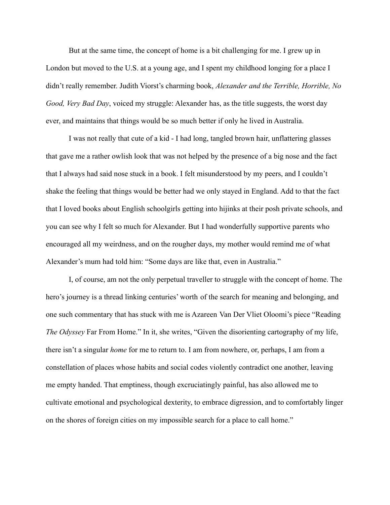But at the same time, the concept of home is a bit challenging for me. I grew up in London but moved to the U.S. at a young age, and I spent my childhood longing for a place I didn't really remember. Judith Viorst's charming book, *Alexander and the Terrible, Horrible, No Good, Very Bad Day*, voiced my struggle: Alexander has, as the title suggests, the worst day ever, and maintains that things would be so much better if only he lived in Australia.

I was not really that cute of a kid - I had long, tangled brown hair, unflattering glasses that gave me a rather owlish look that was not helped by the presence of a big nose and the fact that I always had said nose stuck in a book. I felt misunderstood by my peers, and I couldn't shake the feeling that things would be better had we only stayed in England. Add to that the fact that I loved books about English schoolgirls getting into hijinks at their posh private schools, and you can see why I felt so much for Alexander. But I had wonderfully supportive parents who encouraged all my weirdness, and on the rougher days, my mother would remind me of what Alexander's mum had told him: "Some days are like that, even in Australia."

I, of course, am not the only perpetual traveller to struggle with the concept of home. The hero's journey is a thread linking centuries' worth of the search for meaning and belonging, and one such commentary that has stuck with me is Azareen Van Der Vliet Oloomi's piece "Reading *The Odyssey* Far From Home." In it, she writes, "Given the disorienting cartography of my life, there isn't a singular *home* for me to return to. I am from nowhere, or, perhaps, I am from a constellation of places whose habits and social codes violently contradict one another, leaving me empty handed. That emptiness, though excruciatingly painful, has also allowed me to cultivate emotional and psychological dexterity, to embrace digression, and to comfortably linger on the shores of foreign cities on my impossible search for a place to call home."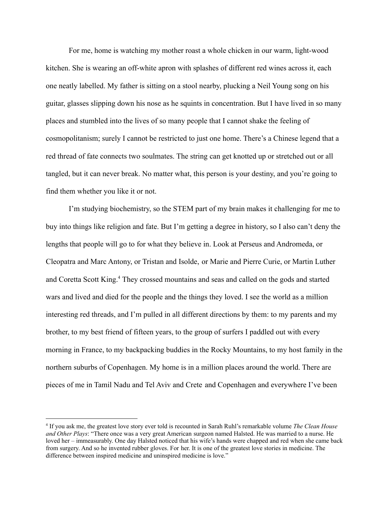For me, home is watching my mother roast a whole chicken in our warm, light-wood kitchen. She is wearing an off-white apron with splashes of different red wines across it, each one neatly labelled. My father is sitting on a stool nearby, plucking a Neil Young song on his guitar, glasses slipping down his nose as he squints in concentration. But I have lived in so many places and stumbled into the lives of so many people that I cannot shake the feeling of cosmopolitanism; surely I cannot be restricted to just one home. There's a Chinese legend that a red thread of fate connects two soulmates. The string can get knotted up or stretched out or all tangled, but it can never break. No matter what, this person is your destiny, and you're going to find them whether you like it or not.

I'm studying biochemistry, so the STEM part of my brain makes it challenging for me to buy into things like religion and fate. But I'm getting a degree in history, so I also can't deny the lengths that people will go to for what they believe in. Look at Perseus and Andromeda, or Cleopatra and Marc Antony, or Tristan and Isolde, or Marie and Pierre Curie, or Martin Luther and Coretta Scott King.<sup>4</sup> They crossed mountains and seas and called on the gods and started wars and lived and died for the people and the things they loved. I see the world as a million interesting red threads, and I'm pulled in all different directions by them: to my parents and my brother, to my best friend of fifteen years, to the group of surfers I paddled out with every morning in France, to my backpacking buddies in the Rocky Mountains, to my host family in the northern suburbs of Copenhagen. My home is in a million places around the world. There are pieces of me in Tamil Nadu and Tel Aviv and Crete and Copenhagen and everywhere I've been

<sup>4</sup> If you ask me, the greatest love story ever told is recounted in Sarah Ruhl's remarkable volume *The Clean House and Other Plays*: "There once was a very great American surgeon named Halsted. He was married to a nurse. He loved her – immeasurably. One day Halsted noticed that his wife's hands were chapped and red when she came back from surgery. And so he invented rubber gloves. For her. It is one of the greatest love stories in medicine. The difference between inspired medicine and uninspired medicine is love."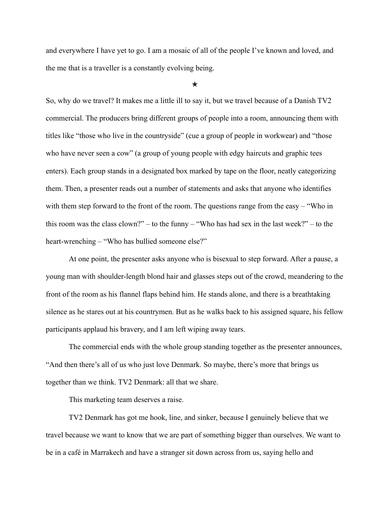and everywhere I have yet to go. I am a mosaic of all of the people I've known and loved, and the me that is a traveller is a constantly evolving being.

## ★

So, why do we travel? It makes me a little ill to say it, but we travel because of a Danish TV2 commercial. The producers bring different groups of people into a room, announcing them with titles like "those who live in the countryside" (cue a group of people in workwear) and "those who have never seen a cow" (a group of young people with edgy haircuts and graphic tees enters). Each group stands in a designated box marked by tape on the floor, neatly categorizing them. Then, a presenter reads out a number of statements and asks that anyone who identifies with them step forward to the front of the room. The questions range from the easy – "Who in this room was the class clown?" – to the funny – "Who has had sex in the last week?" – to the heart-wrenching – "Who has bullied someone else?"

At one point, the presenter asks anyone who is bisexual to step forward. After a pause, a young man with shoulder-length blond hair and glasses steps out of the crowd, meandering to the front of the room as his flannel flaps behind him. He stands alone, and there is a breathtaking silence as he stares out at his countrymen. But as he walks back to his assigned square, his fellow participants applaud his bravery, and I am left wiping away tears.

The commercial ends with the whole group standing together as the presenter announces, "And then there's all of us who just love Denmark. So maybe, there's more that brings us together than we think. TV2 Denmark: all that we share.

This marketing team deserves a raise.

TV2 Denmark has got me hook, line, and sinker, because I genuinely believe that we travel because we want to know that we are part of something bigger than ourselves. We want to be in a café in Marrakech and have a stranger sit down across from us, saying hello and